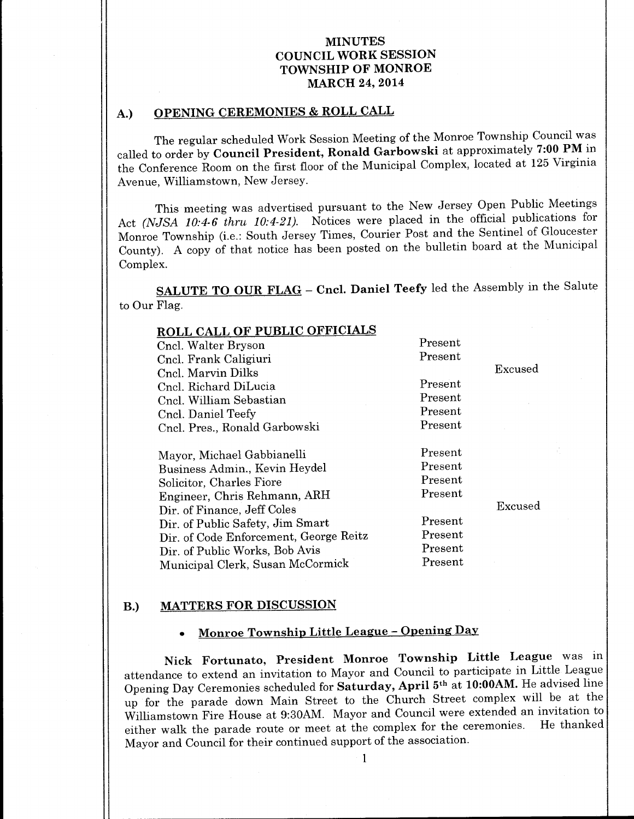# A.) OPENING CEREMONIES & ROLL CALL

The regular scheduled Work Session Meeting of the Monroe Township Council was called to order by Council President, Ronald Garbowski at approximately 7:00 PM in the Conference Room on the first floor of the Municipal Complex, located at 125 Virginia Avenue, Williamstown, New Jersey.

This meeting was advertised pursuant to the New Jersey Open Public Meetings Act (NJSA 10:4-6 thru 10:4-21). Notices were placed in the official publications for Monroe Township (i.e.: South Jersey Times, Courier Post and the Sentinel of Gloucester County). A copy of that notice has been posted on the bulletin board at the Municipal Complex.

SALUTE TO OUR FLAG - Cncl. Daniel Teefy led the Assembly in the Salute to Our Flag.

| <b>ROLL CALL OF PUBLIC OFFICIALS</b>   |         |         |
|----------------------------------------|---------|---------|
| Cncl. Walter Bryson                    | Present |         |
| Cncl. Frank Caligiuri                  | Present |         |
| Cncl. Marvin Dilks                     |         | Excused |
| Cnel. Richard DiLucia                  | Present |         |
| Cncl. William Sebastian                | Present |         |
| Cncl. Daniel Teefy                     | Present |         |
| Cncl. Pres., Ronald Garbowski          | Present |         |
| Mayor, Michael Gabbianelli             | Present |         |
| Business Admin., Kevin Heydel          | Present |         |
| Solicitor, Charles Fiore               | Present |         |
| Engineer, Chris Rehmann, ARH           | Present |         |
| Dir. of Finance, Jeff Coles            |         | Excused |
| Dir. of Public Safety, Jim Smart       | Present |         |
| Dir. of Code Enforcement, George Reitz | Present |         |
| Dir. of Public Works, Bob Avis         | Present |         |
| Municipal Clerk, Susan McCormick       | Present |         |

#### B.) MATTERS FOR DISCUSSION

# Monroe Township Little League - Opening Day

Nick Fortunato, President Monroe Township Little League was in attendance to extend an invitation to Mayor and Council to participate in Little League Opening Day Ceremonies scheduled for Saturday, April 5th at 10:00AM. He advised line up for the parade down Main Street to the Church Street complex will be at the Williamstown Fire House at 9:30AM. Mayor and Council were extended an invitation to<br>the council that we want are most at the complex for the ceremonies. He thanked either walk the parade route or meet at the complex for the ceremonies. Mayor and Council for their continued support of the association.

1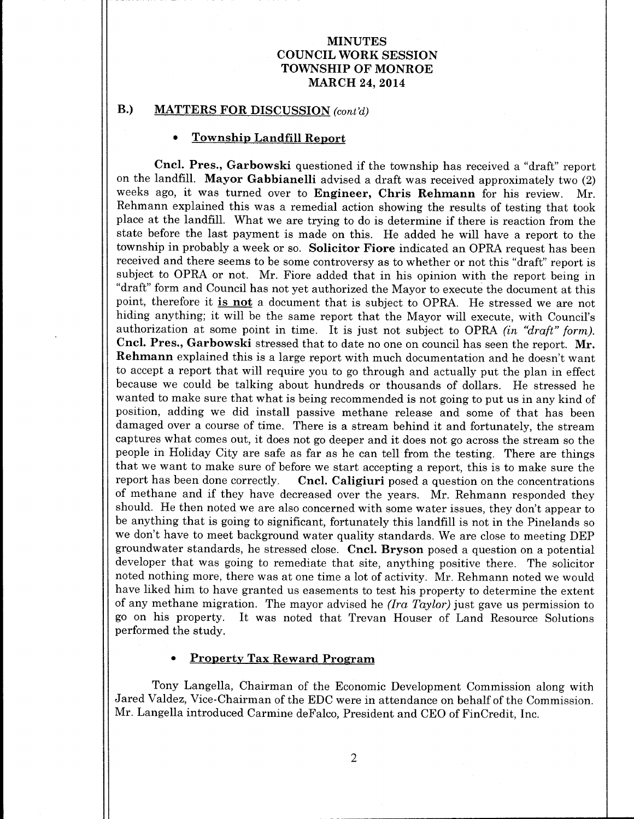## B.) MATTERS FOR DISCUSSION (cont'd)

#### Township Landfill Report

Cncl. Pres., Garbowski questioned if the township has received a " draft" report on the landfill. Mayor Gabbianelli advised a draft was received approximately two (2) weeks ago, it was turned over to Engineer, Chris Rehmann for his review. Mr. Rehmann explained this was a remedial action showing the results of testing that took place at the landfill. What we are trying to do is determine if there is reaction from the state before the last payment is made on this. He added he will have <sup>a</sup> report to the township in probably <sup>a</sup> week or so. Solicitor Fiore indicated an OPRA request has been received and there seems to be some controversy as to whether or not this "draft" report is subject to OPRA or not. Mr. Fiore added that in his opinion with the report being in draft" form and Council has not yet authorized the Mayor to execute the document at this point, therefore it is not a document that is subject to OPRA. He stressed we are not hiding anything; it will be the same report that the Mayor will execute, with Council's authorization at some point in time. It is just not subject to OPRA (in " $draft$ " form). Cncl. Pres., Garbowski stressed that to date no one on council has seen the report. Mr. Rehmann explained this is <sup>a</sup> large report with much documentation and he doesn't want to accept <sup>a</sup> report that will require you to go through and actually put the plan in effect because we could be talking about hundreds or thousands of dollars. He stressed he wanted to make sure that what is being recommended is not going to put us in any kind of position, adding we did install passive methane release and some of that has been damaged over <sup>a</sup> course of time. There is <sup>a</sup> stream behind it and fortunately, the stream captures what comes out, it does not go deeper and it does not go across the stream so the people in Holiday City are safe as far as he can tell from the testing. There are things that we want to make sure of before we start accepting a report, this is to make sure the report has been done correctly. Cncl. Caligiuri posed a question on the concentrations Cncl. Caligiuri posed a question on the concentrations of methane and if they have decreased over the years. Mr. Rehmann responded they should. He then noted we are also concerned with some water issues, they don't appear to be anything that is going to significant, fortunately this landfill is not in the Pinelands so we don't have to meet background water quality standards. We are close to meeting DEP groundwater standards, he stressed close. Cncl. Bryson posed <sup>a</sup> question on <sup>a</sup> potential developer that was going to remediate that site, anything positive there. The solicitor noted nothing more, there was at one time <sup>a</sup> lot of activity. Mr. Rehmann noted we would have liked him to have granted us easements to test his property to determine the extent of any methane migration. The mayor advised he (Ira Taylor) just gave us permission to go on his property. It was noted that Trevan Houser of Land Resource Solutions performed the study.

#### Property Tax Reward Program

Tony Langella, Chairman of the Economic Development Commission along with Jared Valdez, Vice- Chairman of the EDC were in attendance on behalf of the Commission. Mr. Langella introduced Carmine deFalco, President and CEO of FinCredit, Inc.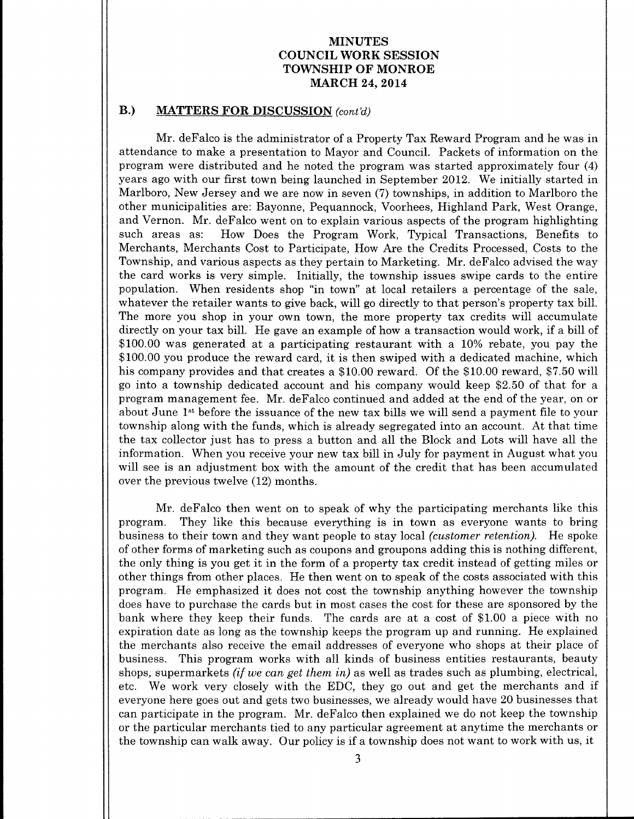## B.) MATTERS FOR DISCUSSION (cont'd)

Mr. deFalco is the administrator of a Property Tax Reward Program and he was in attendance to make a presentation to Mayor and Council. Packets of information on the program were distributed and he noted the program was started approximately four ( 4) years ago with our first town being launched in September 2012. We initially started in Marlboro, New Jersey and we are now in seven (7) townships, in addition to Marlboro the other municipalities are: Bayonne, Pequannock, Voorhees, Highland Park, West Orange, and Vernon. Mr. deFalco went on to explain various aspects of the program highlighting How Does the Program Work, Typical Transactions, Benefits to Merchants, Merchants Cost to Participate, How Are the Credits Processed, Costs to the Township, and various aspects as they pertain to Marketing. Mr. deFalco advised the way the card works is very simple. Initially, the township issues swipe cards to the entire population. When residents shop "in town" at local retailers a percentage of the sale, whatever the retailer wants to give back, will go directly to that person's property tax bill. The more you shop in your own town, the more property tax credits will accumulate directly on your tax bill. He gave an example of how <sup>a</sup> transaction would work, if <sup>a</sup> bill of 100.00 was generated at <sup>a</sup> participating restaurant with <sup>a</sup> 10% rebate, you pay the 100. <sup>00</sup> you produce the reward card, it is then swiped with <sup>a</sup> dedicated machine, which his company provides and that creates a \$10.00 reward. Of the \$10.00 reward, \$7.50 will go into a township dedicated account and his company would keep \$2.50 of that for a program management fee. Mr. deFalco continued and added at the end of the year, on or about June 1st before the issuance of the new tax bills we will send <sup>a</sup> payment file to your township along with the funds, which is already segregated into an account. At that time the tax collector just has to press a button and all the Block and Lots will have all the information. When you receive your new tax bill in July for payment in August what you will see is an adjustment box with the amount of the credit that has been accumulated over the previous twelve (12) months.

Mr. deFalco then went on to speak of why the participating merchants like this program. They like this because everything is in town as everyone wants to bring They like this because everything is in town as everyone wants to bring business to their town and they want people to stay local *(customer retention)*. He spoke of other forms of marketing such as coupons and groupons adding this is nothing different, the only thing is you get it in the form of <sup>a</sup> property tax credit instead of getting miles or other things from other places. He then went on to speak of the costs associated with this program. He emphasized it does not cost the township anything however the township does have to purchase the cards but in most cases the cost for these are sponsored by the bank where they keep their funds. The cards are at a cost of  $$1.00$  a piece with no expiration date as long as the township keeps the program up and running. He explained the merchants also receive the email addresses of everyone who shops at their place of business. This program works with all kinds of business entities restaurants, beauty shops, supermarkets *(if we can get them in)* as well as trades such as plumbing, electrical, etc. We work very closely with the EDC, they go out and get the merchants and if everyone here goes out and gets two businesses, we already would have 20 businesses that can participate in the program. Mr. deFalco then explained we do not keep the township or the particular merchants tied to any particular agreement at anytime the merchants or the township can walk away. Our policy is if <sup>a</sup> township does not want to work with us, it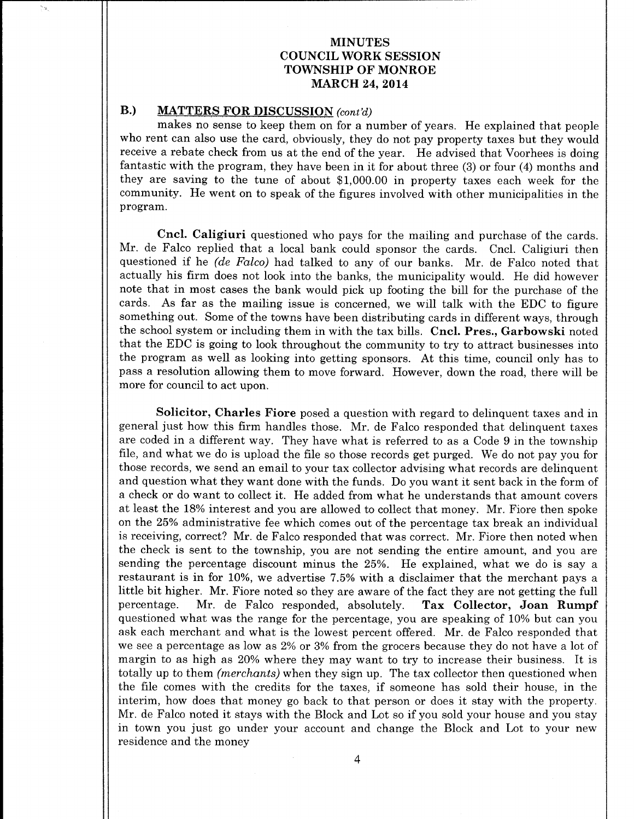## B.) MATTERS FOR DISCUSSION (cont'd)

makes no sense to keep them on for <sup>a</sup> number of years. He explained that people who rent can also use the card, obviously, they do not pay property taxes but they would receive <sup>a</sup> rebate check from us at the end of the year. He advised that Voorhees is doing fantastic with the program, they have been in it for about three  $(3)$  or four  $(4)$  months and they are saving to the tune of about \$1,000.00 in property taxes each week for the community. He went on to speak of the figures involved with other municipalities in the program.

Cncl. Caligiuri questioned who pays for the mailing and purchase of the cards. Mr. de Falco replied that <sup>a</sup> local bank could sponsor the cards. Cncl. Caligiuri then questioned if he *(de Falco)* had talked to any of our banks. Mr. de Falco noted that actually his firm does not look into the banks, the municipality would. He did however note that in most cases the bank would pick up footing the bill for the purchase of the cards. As far as the mailing issue is concerned, we will talk with the EDC to figure something out. Some of the towns have been distributing cards in different ways, through the school system or including them in with the tax bills. Cncl. Pres., Garbowski noted that the EDC is going to look throughout the community to try to attract businesses into the program as well as looking into getting sponsors. At this time, council only has to pass <sup>a</sup> resolution allowing them to move forward. However, down the road, there will be more for council to act upon.

Solicitor, Charles Fiore posed <sup>a</sup> question with regard to delinquent taxes and in general just how this firm handles those. Mr. de Falco responded that delinquent taxes are coded in <sup>a</sup> different way. They have what is referred to as <sup>a</sup> Code <sup>9</sup> in the township file, and what we do is upload the file so those records get purged. We do not pay you for those records, we send an email to your tax collector advising what records are delinquent and question what they want done with the funds. Do you want it sent back in the form of <sup>a</sup> check or do want to collect it. He added from what he understands that amount covers at least the 18% interest and you are allowed to collect that money. Mr. Fiore then spoke on the 25% administrative fee which comes out of the percentage tax break an individual is receiving, correct? Mr. de Falco responded that was correct. Mr. Fiore then noted when the check is sent to the township, you are not sending the entire amount, and you are sending the percentage discount minus the 25%. He explained, what we do is say <sup>a</sup> restaurant is in for 10%, we advertise 7. 5% with a disclaimer that the merchant pays a little bit higher. Mr. Fiore noted so they are aware of the fact they are not getting the full percentage. Mr. de Falco responded, absolutely. Tax Collector, Joan Rumpf Mr. de Falco responded, absolutely. questioned what was the range for the percentage, you are speaking of 10% but can you ask each merchant and what is the lowest percent offered. Mr. de Falco responded that we see <sup>a</sup> percentage as low as 2% or 3% from the grocers because they do not have <sup>a</sup> lot of margin to as high as 20% where they may want to try to increase their business. It is totally up to them *(merchants)* when they sign up. The tax collector then questioned when the file comes with the credits for the taxes, if someone has sold their house, in the interim, how does that money go back to that person or does it stay with the property. Mr. de Falco noted it stays with the Block and Lot so if you sold your house and you stay in town you just go under your account and change the Block and Lot to your new residence and the money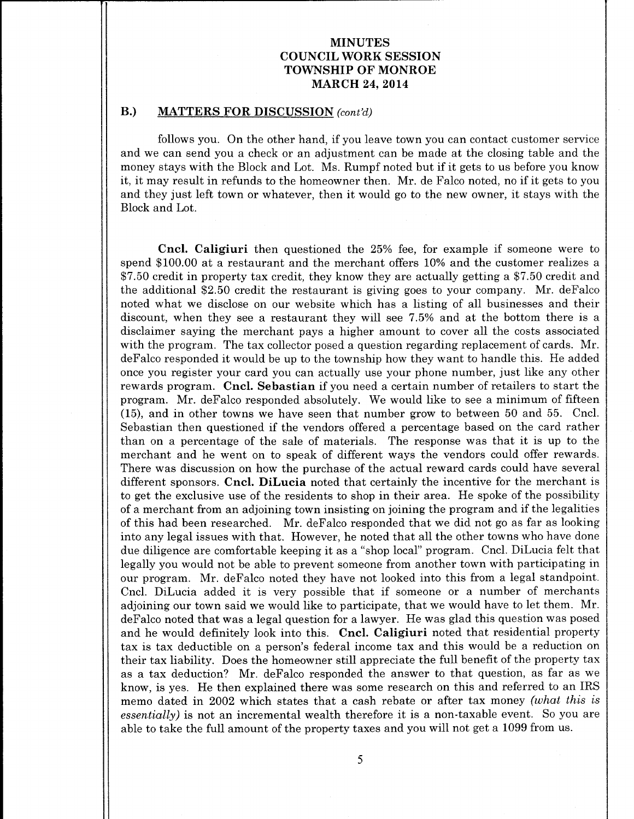### B.) MATTERS FOR DISCUSSION (cont'd)

follows you. On the other hand, if you leave town you can contact customer service and we can send you a check or an adjustment can be made at the closing table and the money stays with the Block and Lot. Ms. Rumpf noted but if it gets to us before you know it, it may result in refunds to the homeowner then. Mr. de Falco noted, no if it gets to you and they just left town or whatever, then it would go to the new owner, it stays with the Block and Lot.

Cncl. Caligiuri then questioned the 25% fee, for example if someone were to spend \$ 100.00 at a restaurant and the merchant offers 10% and the customer realizes a \$7.50 credit in property tax credit, they know they are actually getting a \$7.50 credit and the additional \$2.50 credit the restaurant is giving goes to your company. Mr. deFalco noted what we disclose on our website which has a listing of all businesses and their discount, when they see <sup>a</sup> restaurant they will see 7. 5% and at the bottom there is <sup>a</sup> disclaimer saying the merchant pays a higher amount to cover all the costs associated with the program. The tax collector posed <sup>a</sup> question regarding replacement of cards. Mr. deFalco responded it would be up to the township how they want to handle this. He added once you register your card you can actually use your phone number, just like any other rewards program. Cncl. Sebastian if you need <sup>a</sup> certain number of retailers to start the program. Mr. deFalco responded absolutely. We would like to see <sup>a</sup> minimum of fifteen 15), and in other towns we have seen that number grow to between 50 and 55. Cncl. Sebastian then questioned if the vendors offered <sup>a</sup> percentage based on the card rather than on <sup>a</sup> percentage of the sale of materials. The response was that it is up to the merchant and he went on to speak of different ways the vendors could offer rewards. There was discussion on how the purchase of the actual reward cards could have several different sponsors. Cncl. DiLucia noted that certainly the incentive for the merchant is to get the exclusive use of the residents to shop in their area. He spoke of the possibility of <sup>a</sup> merchant from an adjoining town insisting on joining the program and if the legalities of this had been researched. Mr. deFalco responded that we did not go as far as looking into any legal issues with that. However, he noted that all the other towns who have done due diligence are comfortable keeping it as a " shop local" program. Cncl. DiLucia felt that legally you would not be able to prevent someone from another town with participating in our program. Mr. deFalco noted they have not looked into this from <sup>a</sup> legal standpoint. Cncl. DiLucia added it is very possible that if someone or <sup>a</sup> number of merchants adjoining our town said we would like to participate, that we would have to let them. Mr. deFalco noted that was a legal question for a lawyer. He was glad this question was posed and he would definitely look into this. Cncl. Caligiuri noted that residential property tax is tax deductible on a person's federal income tax and this would be a reduction on their tax liability. Does the homeowner still appreciate the full benefit of the property tax as a tax deduction? Mr. deFalco responded the answer to that question, as far as we know, is yes. He then explained there was some research on this and referred to an IRS memo dated in 2002 which states that a cash rebate or after tax money (what this is essentially) is not an incremental wealth therefore it is a non-taxable event. So you are able to take the full amount of the property taxes and you will not get <sup>a</sup> 1099 from us.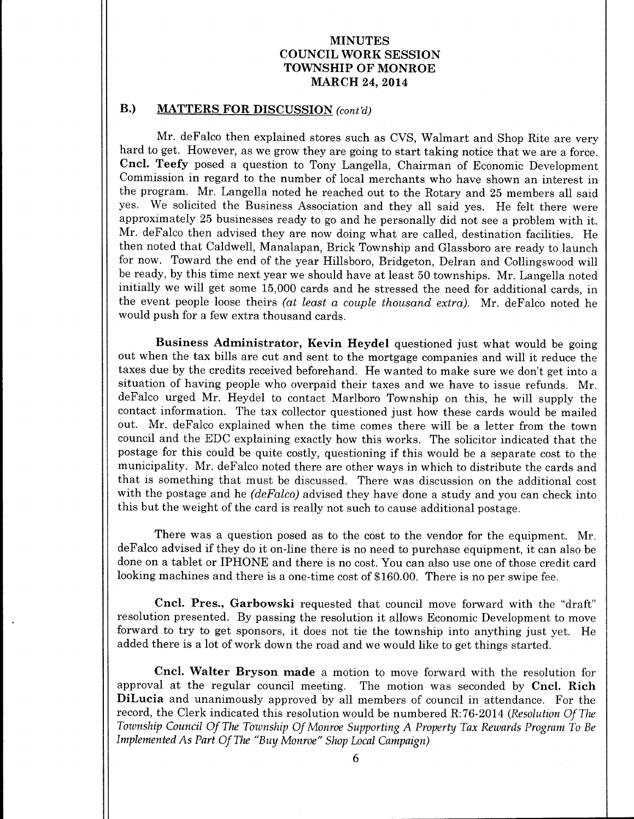## B.) MATTERS FOR DISCUSSION (cont'd)

Mr. deFalco then explained stores such as CVS, Walmart and Shop Rite are very hard to get. However, as we grow they are going to start taking notice that we are a force. Cncl. Teefy posed a question to Tony Langella, Chairman of Economic Development Commission in regard to the number of local merchants who have shown an interest in the program. Mr. Langella noted he reached out to the Rotary and <sup>25</sup> members all said yes. We solicited the Business Association and they all said yes. He felt there were approximately <sup>25</sup> businesses ready to go and he personally did not see <sup>a</sup> problem with it. Mr. deFalco then advised they are now doing what are called, destination facilities. He then noted that Caldwell, Manalapan, Brick Township and Glassboro are ready to launch for now. Toward the end of the year Hillsboro, Bridgeton, Delran and Collingswood will be ready, by this time next year we should have at least 50 townships. Mr. Langella noted initially we will get some 15, 000 cards and he stressed the need for additional cards, in the event people loose theirs (at least a couple thousand extra). Mr. deFalco noted he would push for a few extra thousand cards.

Business Administrator, Kevin Heydel questioned just what would be going out when the tax bills are cut and sent to the mortgage companies and will it reduce the taxes due by the credits received beforehand. He wanted to make sure we don't get into <sup>a</sup> situation of having people who overpaid their taxes and we have to issue refunds. Mr. deFalco urged Mr. Heydel to contact Marlboro Township on this, he will supply the contact information. The tax collector questioned just how these cards would be mailed out. Mr, deFalco explained when the time comes there will be <sup>a</sup> letter from the town council and the EDC explaining exactly how this works, The solicitor indicated that the postage for this could be quite costly, questioning if this would be <sup>a</sup> separate cost to the municipality. Mr. deFalco noted there are other ways in which to distribute the cards and that is something that must be discussed. There was discussion on the additional cost with the postage and he  $(deFalse)$  advised they have done a study and you can check into this but the weight of the card is really not such to cause additional postage.

There was a question posed as to the cost to the vendor for the equipment. Mr. deFalco advised if they do it on-line there is no need to purchase equipment, it can also be done on a tablet or IPHONE and there is no cost. You can also use one of those credit card looking machines and there is a one-time cost of \$160.00. There is no per swipe fee.

Cncl. Pres., Garbowski requested that council move forward with the "draft" resolution presented. By passing the resolution it allows Economic Development to move forward to try to get sponsors, it does not tie the township into anything just yet. He added there is a lot of work down the road and we would like to get things started.

Cncl. Walter Bryson made a motion to move forward with the resolution for approval at the regular council meeting. The motion was seconded by Cncl. Rich DiLucia and unanimously approved by all members of council in attendance. For the record, the Clerk indicated this resolution would be numbered R:76-2014 (Resolution Of The Township Council Of The Township Of Monroe Supporting A Property Tax Rewards Program To Be Implemented As Part Of The " Buy Monroe" Shop Local Campaign)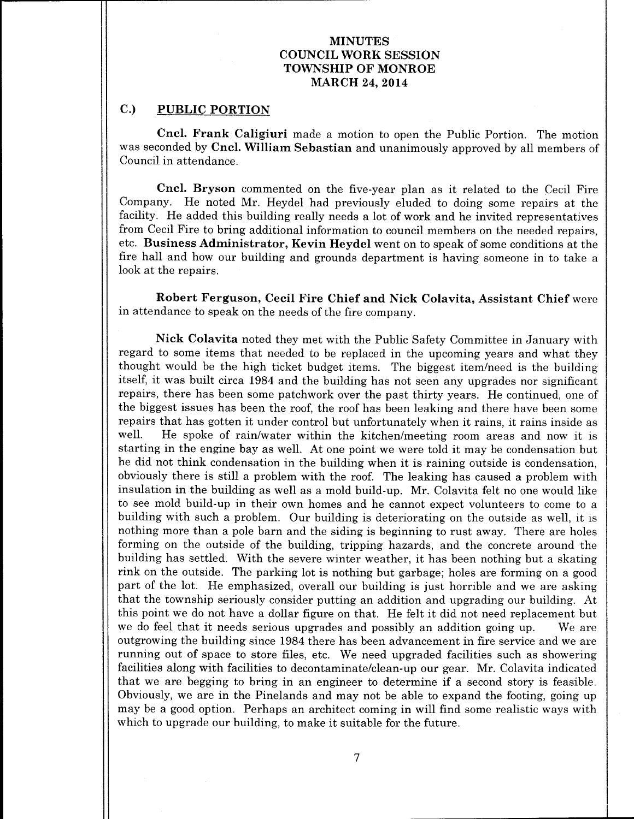## C.) PUBLIC PORTION

Cncl. Frank Caligiuri made <sup>a</sup> motion to open the Public Portion. The motion was seconded by Cncl. William Sebastian and unanimously approved by all members of Council in attendance.

Cncl. Bryson commented on the five-year plan as it related to the Cecil Fire Company. He noted Mr. Heydel had previously eluded to doing some repairs at the facility. He added this building really needs a lot of work and he invited representatives from Cecil Fire to bring additional information to council members on the needed repairs, etc. Business Administrator, Kevin Heydel went on to speak of some conditions at the fire hall and how our building and grounds department is having someone in to take a look at the repairs.

Robert Ferguson, Cecil Fire Chief and Nick Colavita, Assistant Chief were in attendance to speak on the needs of the fire company.

Nick Colavita noted they met with the Public Safety Committee in January with regard to some items that needed to be replaced in the upcoming years and what they thought would be the high ticket budget items. The biggest item/need is the building itself, it was built circa 1984 and the building has not seen any upgrades nor significant repairs, there has been some patchwork over the past thirty years. He continued, one of the biggest issues has been the roof, the roof has been leaking and there have been some repairs that has gotten it under control but unfortunately when it rains, it rains inside as<br>well. He spoke of rain/water within the kitchen/meeting room areas and now it is He spoke of rain/water within the kitchen/meeting room areas and now it is starting in the engine bay as well. At one point we were told it may be condensation but he did not think condensation in the building when it is raining outside is condensation, obviously there is still <sup>a</sup> problem with the roof. The leaking has caused <sup>a</sup> problem with insulation in the building as well as <sup>a</sup> mold build-up. Mr. Colavita felt no one would like to see mold build-up in their own homes and he cannot expect volunteers to come to a building with such <sup>a</sup> problem. Our building is deteriorating on the outside as well, it is nothing more than <sup>a</sup> pole barn and the siding is beginning to rust away. There are holes forming on the outside of the building, tripping hazards, and the concrete around the building has settled. With the severe winter weather, it has been nothing but <sup>a</sup> skating rink on the outside. The parking lot is nothing but garbage; holes are forming on <sup>a</sup> good part of the lot. He emphasized, overall our building is just horrible and we are asking that the township seriously consider putting an addition and upgrading our building. At this point we do not have <sup>a</sup> dollar figure on that. He felt it did not need replacement but we do feel that it needs serious upgrades and possibly an addition going up. We are outgrowing the building since 1984 there has been advancement in fire service and we are running out of space to store files, etc. We need upgraded facilities such as showering facilities along with facilities to decontaminate/clean-up our gear. Mr. Colavita indicated that we are begging to bring in an engineer to determine if <sup>a</sup> second story is feasible. Obviously, we are in the Pinelands and may not be able to expand the footing, going up may be <sup>a</sup> good option. Perhaps an architect coming in will find some realistic ways with which to upgrade our building, to make it suitable for the future.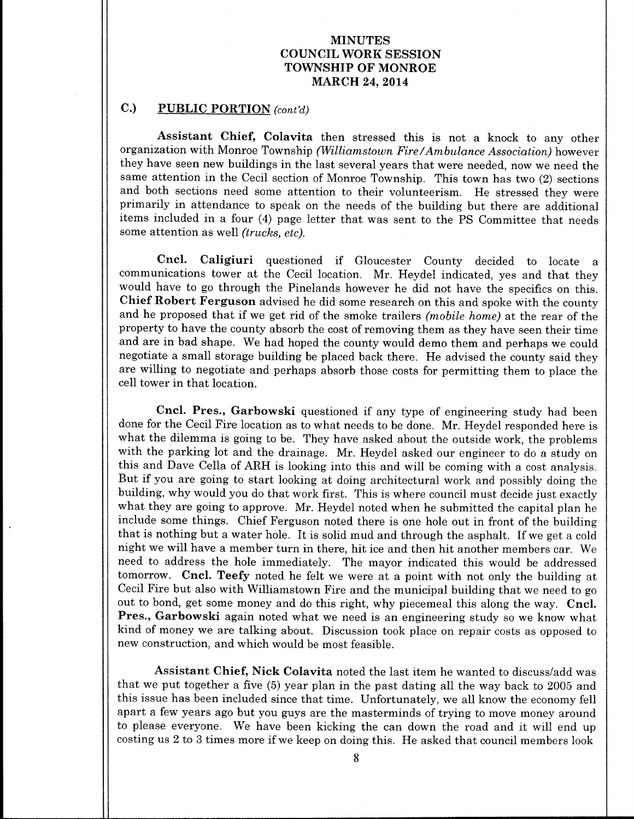## C.) PUBLIC PORTION  $\text{cont'd}$

Assistant Chief, Colavita then stressed this is not <sup>a</sup> knock to any other organization with Monroe Township (Williamstown Fire/Ambulance Association) however they have seen new buildings in the last several years that were needed, now we need the same attention in the Cecil section of Monroe Township. This town has two (2) sections and both sections need some attention to their volunteerism. He stressed they were primarily in attendance to speak on the needs of the building but there are additional items included in a four (4) page letter that was sent to the PS Committee that needs some attention as well (trucks, etc).

Cncl. Caligiuri questioned if Gloucester County decided to locate <sup>a</sup> communications tower at the Cecil location. Mr. Heydel indicated, yes and that they would have to go through the Pinelands however he did not have the specifics on this. Chief Robert Ferguson advised he did some research on this and spoke with the county and he proposed that if we get rid of the smoke trailers (mobile home) at the rear of the property to have the county absorb the cost of removing them as they have seen their time and are in bad shape. We had hoped the county would demo them and perhaps we could negotiate <sup>a</sup> small storage building be placed back there. He advised the county said they are willing to negotiate and perhaps absorb those costs for permitting them to place the cell tower in that location.

Cncl. Pres., Garbowski questioned if any type of engineering study had been done for the Cecil Fire location as to what needs to be done. Mr. Heydel responded here is what the dilemma is going to be. They have asked about the outside work, the problems with the parking lot and the drainage. Mr. Heydel asked our engineer to do <sup>a</sup> study on this and Dave Cella of ARH is looking into this and will be coming with a cost analysis. But if you are going to start looking at doing architectural work and possibly doing the building, why would you do that work first. This is where council must decide just exactly what they are going to approve. Mr. Heydel noted when he submitted the capital plan he include some things. Chief Ferguson noted there is one hole out in front of the building that is nothing but <sup>a</sup> water hole. It is solid mud and through the asphalt. If we get <sup>a</sup> cold night we will have <sup>a</sup> member turn in there, hit ice and then hit another members car. We need to address the hole immediately. The mayor indicated this would be addressed tomorrow. Cncl. Teefy noted he felt we were at <sup>a</sup> point with not only the building at Cecil Fire but also with Williamstown Fire and the municipal building that we need to go out to bond, get some money and do this right, why piecemeal this along the way. Cncl. Pres., Garbowski again noted what we need is an engineering study so we know what kind of money we are talking about. Discussion took place on repair costs as opposed to new construction, and which would be most feasible.

Assistant Chief, Nick Colavita noted the last item he wanted to discuss/add was that we put together a five (5) year plan in the past dating all the way back to 2005 and this issue has been included since that time. Unfortunately, we all know the economy fell apart a few years ago but you guys are the masterminds of trying to move money around to please everyone. We have been kicking the can down the road and it will end up costing us <sup>2</sup> to <sup>3</sup> times more if we keep on doing this. He asked that council members look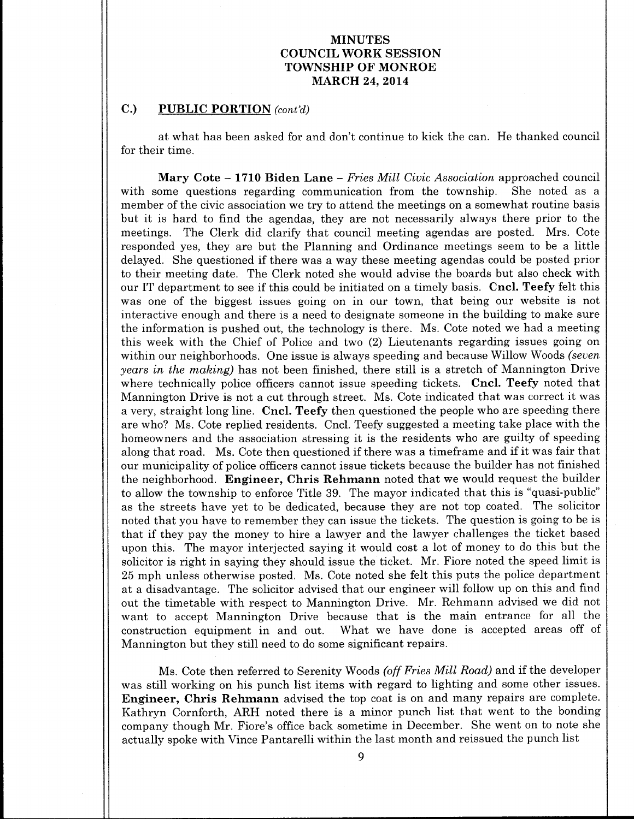## C.) PUBLIC PORTION (cont'd)

at what has been asked for and don't continue to kick the can. He thanked council for their time.

**Mary Cote – 1710 Biden Lane –** *Fries Mill Civic Association* approached council ome questions regarding communication from the township. She noted as a with some questions regarding communication from the township. member of the civic association we try to attend the meetings on a somewhat routine basis but it is hard to find the agendas, they are not necessarily always there prior to the meetings. The Clerk did clarify that council meeting agendas are posted. Mrs. Cote responded yes, they are but the Planning and Ordinance meetings seem to be a little delayed. She questioned if there was <sup>a</sup> way these meeting agendas could be posted prior to their meeting date. The Clerk noted she would advise the boards but also check with our IT department to see if this could be initiated on <sup>a</sup> timely basis. Cncl. Teefy felt this was one of the biggest issues going on in our town, that being our website is not interactive enough and there is <sup>a</sup> need to designate someone in the building to make sure the information is pushed out, the technology is there. Ms. Cote noted we had <sup>a</sup> meeting this week with the Chief of Police and two (2) Lieutenants regarding issues going on within our neighborhoods. One issue is always speeding and because Willow Woods (seven years in the making) has not been finished, there still is a stretch of Mannington Drive where technically police officers cannot issue speeding tickets. Cncl. Teefy noted that Mannington Drive is not <sup>a</sup> cut through street. Ms. Cote indicated that was correct it was <sup>a</sup> very, straight long line. Cncl. Teefy then questioned the people who are speeding there are who? Ms. Cote replied residents. Cncl. Teefy suggested a meeting take place with the homeowners and the association stressing it is the residents who are guilty of speeding along that road. Ms. Cote then questioned if there was <sup>a</sup> timeframe and if it was fair that our municipality of police officers cannot issue tickets because the builder has not finished the neighborhood. **Engineer, Chris Rehmann** noted that we would request the builder to allow the township to enforce Title 39. The mayor indicated that this is " quasi-public" as the streets have yet to be dedicated, because they are not top coated. The solicitor noted that you have to remember they can issue the tickets. The question is going to be is that if they pay the money to hire <sup>a</sup> lawyer and the lawyer challenges the ticket based upon this. The mayor interjected saying it would cost <sup>a</sup> lot of money to do this but the solicitor is right in saying they should issue the ticket. Mr. Fiore noted the speed limit is 25 mph unless otherwise posted. Ms. Cote noted she felt this puts the police department at <sup>a</sup> disadvantage. The solicitor advised that our engineer will follow up on this and find out the timetable with respect to Mannington Drive. Mr. Rehmann advised we did not want to accept Mannington Drive because that is the main entrance for all the construction equipment in and out. What we have done is accepted areas off of Mannington but they still need to do some significant repairs.

Ms. Cote then referred to Serenity Woods (off Fries Mill Road) and if the developer was still working on his punch list items with regard to lighting and some other issues. Engineer, Chris Rehmann advised the top coat is on and many repairs are complete. Kathryn Cornforth, ARH noted there is a minor punch list that went to the bonding company though Mr. Fiore's office back sometime in December. She went on to note she actually spoke with Vince Pantarelli within the last month and reissued the punch list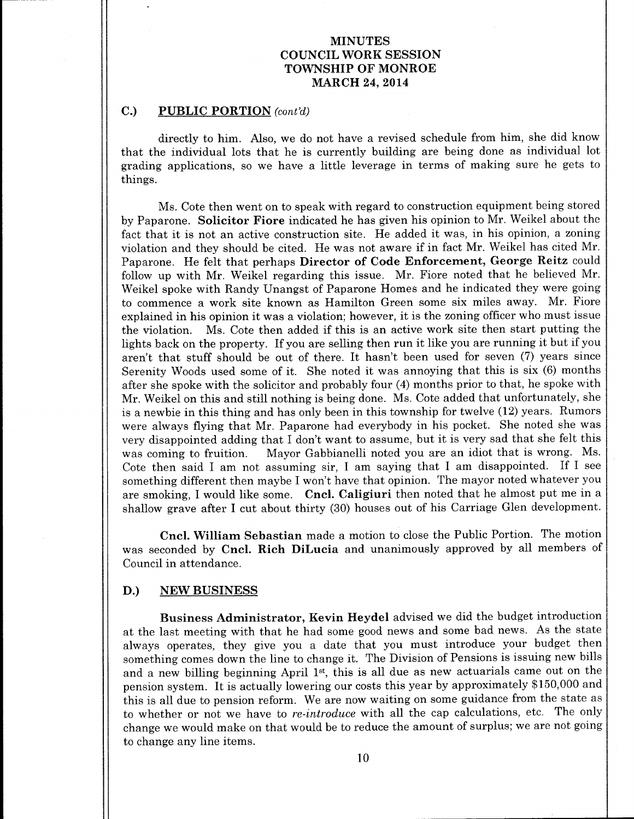### C.) PUBLIC PORTION (cont'd)

directly to him. Also, we do not have <sup>a</sup> revised schedule from him, she did know that the individual lots that he is currently building are being done as individual lot grading applications, so we have a little leverage in terms of making sure he gets to things.

Ms. Cote then went on to speak with regard to construction equipment being stored by Paparone. Solicitor Fiore indicated he has given his opinion to Mr. Weikel about the fact that it is not an active construction site. He added it was, in his opinion, a zoning violation and they should be cited. He was not aware if in fact Mr. Weikel has cited Mr. Paparone. He felt that perhaps Director of Code Enforcement, George Reitz could follow up with Mr. Weikel regarding this issue. Mr, Fiore noted that he believed Mr. Weikel spoke with Randy Unangst of Paparone Homes and he indicated they were going to commence <sup>a</sup> work site known as Hamilton Green some six miles away. Mr. Fiore explained in his opinion it was <sup>a</sup> violation; however, it is the zoning officer who must issue the violation. Ms. Cote then added if this is an active work site then start putting the lights back on the property. If you are selling then run it like you are running it but if you aren't that stuff should be out of there. It hasn't been used for seven (7) years since Serenity Woods used some of it. She noted it was annoying that this is six (6) months after she spoke with the solicitor and probably four (4) months prior to that, he spoke with Mr. Weikel on this and still nothing is being done. Ms. Cote added that unfortunately, she is <sup>a</sup> newbie in this thing and has only been in this township for twelve ( 12) years. Rumors were always flying that Mr. Paparone had everybody in his pocket. She noted she was very disappointed adding that I don't want to assume, but it is very sad that she felt this<br>was coming to fruition. Mayor Gabbianelli noted you are an idiot that is wrong. Ms. Mayor Gabbianelli noted you are an idiot that is wrong. Ms. Cote then said <sup>I</sup> am not assuming sir, <sup>I</sup> am saying that <sup>I</sup> am disappointed. If <sup>I</sup> see something different then maybe I won't have that opinion. The mayor noted whatever you are smoking, I would like some. Cncl. Caligiuri then noted that he almost put me in a shallow grave after I cut about thirty (30) houses out of his Carriage Glen development.

Cncl. William Sebastian made <sup>a</sup> motion to close the Public Portion. The motion was seconded by Cncl. Rich DiLucia and unanimously approved by all members of Council in attendance.

### D.) NEW BUSINESS

Business Administrator, Kevin Heydel advised we did the budget introduction at the last meeting with that he had some good news and some bad news. As the state always operates, they give you <sup>a</sup> date that you must introduce your budget then something comes down the line to change it. The Division of Pensions is issuing new bills and a new billing beginning April 1<sup>st</sup>, this is all due as new actuarials came out on the pension system. It is actually lowering our costs this year by approximately \$150,000 and this is all due to pension reform. We are now waiting on some guidance from the state as to whether or not we have to re-introduce with all the cap calculations, etc. The only change we would make on that would be to reduce the amount of surplus; we are not going to change any line items.